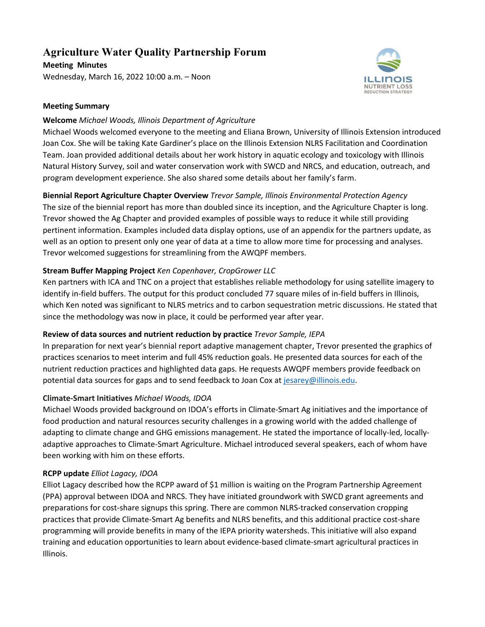# **Agriculture Water Quality Partnership Forum**

**Meeting Minutes** Wednesday, March 16, 2022 10:00 a.m. – Noon



### **Meeting Summary**

### **Welcome** *Michael Woods, Illinois Department of Agriculture*

Michael Woods welcomed everyone to the meeting and Eliana Brown, University of Illinois Extension introduced Joan Cox. She will be taking Kate Gardiner's place on the Illinois Extension NLRS Facilitation and Coordination Team. Joan provided additional details about her work history in aquatic ecology and toxicology with Illinois Natural History Survey, soil and water conservation work with SWCD and NRCS, and education, outreach, and program development experience. She also shared some details about her family's farm.

# **Biennial Report Agriculture Chapter Overview** *Trevor Sample, Illinois Environmental Protection Agency* The size of the biennial report has more than doubled since its inception, and the Agriculture Chapter is long. Trevor showed the Ag Chapter and provided examples of possible ways to reduce it while still providing pertinent information. Examples included data display options, use of an appendix for the partners update, as well as an option to present only one year of data at a time to allow more time for processing and analyses. Trevor welcomed suggestions for streamlining from the AWQPF members.

# **Stream Buffer Mapping Project** *Ken Copenhaver, CropGrower LLC*

Ken partners with ICA and TNC on a project that establishes reliable methodology for using satellite imagery to identify in-field buffers. The output for this product concluded 77 square miles of in-field buffers in Illinois, which Ken noted was significant to NLRS metrics and to carbon sequestration metric discussions. He stated that since the methodology was now in place, it could be performed year after year.

# **Review of data sources and nutrient reduction by practice** *Trevor Sample, IEPA*

In preparation for next year's biennial report adaptive management chapter, Trevor presented the graphics of practices scenarios to meet interim and full 45% reduction goals. He presented data sources for each of the nutrient reduction practices and highlighted data gaps. He requests AWQPF members provide feedback on potential data sources for gaps and to send feedback to Joan Cox at [jesarey@illinois.edu.](mailto:jesarey@illinois.edu) 

# **Climate-Smart Initiatives** *Michael Woods, IDOA*

Michael Woods provided background on IDOA's efforts in Climate-Smart Ag initiatives and the importance of food production and natural resources security challenges in a growing world with the added challenge of adapting to climate change and GHG emissions management. He stated the importance of locally-led, locallyadaptive approaches to Climate-Smart Agriculture. Michael introduced several speakers, each of whom have been working with him on these efforts.

# **RCPP update** *Elliot Lagacy, IDOA*

Elliot Lagacy described how the RCPP award of \$1 million is waiting on the Program Partnership Agreement (PPA) approval between IDOA and NRCS. They have initiated groundwork with SWCD grant agreements and preparations for cost-share signups this spring. There are common NLRS-tracked conservation cropping practices that provide Climate-Smart Ag benefits and NLRS benefits, and this additional practice cost-share programming will provide benefits in many of the IEPA priority watersheds. This initiative will also expand training and education opportunities to learn about evidence-based climate-smart agricultural practices in Illinois.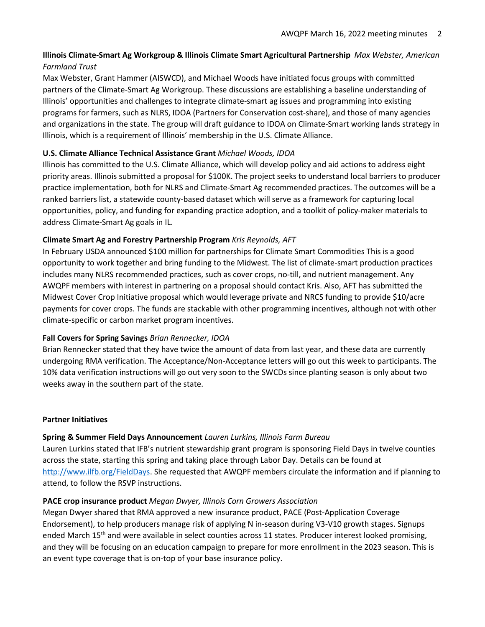# **Illinois Climate-Smart Ag Workgroup & Illinois Climate Smart Agricultural Partnership** *Max Webster, American Farmland Trust*

Max Webster, Grant Hammer (AISWCD), and Michael Woods have initiated focus groups with committed partners of the Climate-Smart Ag Workgroup. These discussions are establishing a baseline understanding of Illinois' opportunities and challenges to integrate climate-smart ag issues and programming into existing programs for farmers, such as NLRS, IDOA (Partners for Conservation cost-share), and those of many agencies and organizations in the state. The group will draft guidance to IDOA on Climate-Smart working lands strategy in Illinois, which is a requirement of Illinois' membership in the U.S. Climate Alliance.

# **U.S. Climate Alliance Technical Assistance Grant** *Michael Woods, IDOA*

Illinois has committed to the U.S. Climate Alliance, which will develop policy and aid actions to address eight priority areas. Illinois submitted a proposal for \$100K. The project seeks to understand local barriers to producer practice implementation, both for NLRS and Climate-Smart Ag recommended practices. The outcomes will be a ranked barriers list, a statewide county-based dataset which will serve as a framework for capturing local opportunities, policy, and funding for expanding practice adoption, and a toolkit of policy-maker materials to address Climate-Smart Ag goals in IL.

# **Climate Smart Ag and Forestry Partnership Program** *Kris Reynolds, AFT*

In February USDA announced \$100 million for partnerships for Climate Smart Commodities This is a good opportunity to work together and bring funding to the Midwest. The list of climate-smart production practices includes many NLRS recommended practices, such as cover crops, no-till, and nutrient management. Any AWQPF members with interest in partnering on a proposal should contact Kris. Also, AFT has submitted the Midwest Cover Crop Initiative proposal which would leverage private and NRCS funding to provide \$10/acre payments for cover crops. The funds are stackable with other programming incentives, although not with other climate-specific or carbon market program incentives.

# **Fall Covers for Spring Savings** *Brian Rennecker, IDOA*

Brian Rennecker stated that they have twice the amount of data from last year, and these data are currently undergoing RMA verification. The Acceptance/Non-Acceptance letters will go out this week to participants. The 10% data verification instructions will go out very soon to the SWCDs since planting season is only about two weeks away in the southern part of the state.

#### **Partner Initiatives**

# **Spring & Summer Field Days Announcement** *Lauren Lurkins, Illinois Farm Bureau*

Lauren Lurkins stated that IFB's nutrient stewardship grant program is sponsoring Field Days in twelve counties across the state, starting this spring and taking place through Labor Day. Details can be found at [http://www.ilfb.org/FieldDays.](http://www.ilfb.org/FieldDays) She requested that AWQPF members circulate the information and if planning to attend, to follow the RSVP instructions.

#### **PACE crop insurance product** *Megan Dwyer, Illinois Corn Growers Association*

Megan Dwyer shared that RMA approved a new insurance product, PACE (Post-Application Coverage Endorsement), to help producers manage risk of applying N in-season during V3-V10 growth stages. Signups ended March 15<sup>th</sup> and were available in select counties across 11 states. Producer interest looked promising, and they will be focusing on an education campaign to prepare for more enrollment in the 2023 season. This is an event type coverage that is on-top of your base insurance policy.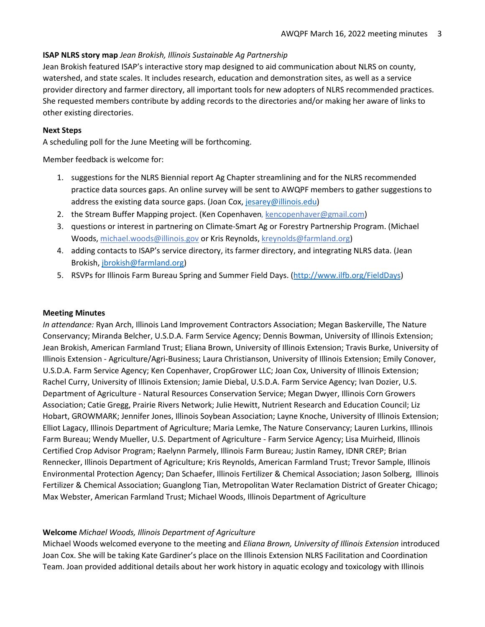#### **ISAP NLRS story map** *Jean Brokish, Illinois Sustainable Ag Partnership*

Jean Brokish featured ISAP's interactive story map designed to aid communication about NLRS on county, watershed, and state scales. It includes research, education and demonstration sites, as well as a service provider directory and farmer directory, all important tools for new adopters of NLRS recommended practices. She requested members contribute by adding records to the directories and/or making her aware of links to other existing directories.

# **Next Steps**

A scheduling poll for the June Meeting will be forthcoming.

Member feedback is welcome for:

- 1. suggestions for the NLRS Biennial report Ag Chapter streamlining and for the NLRS recommended practice data sources gaps. An online survey will be sent to AWQPF members to gather suggestions to address the existing data source gaps. (Joan Cox, [jesarey@illinois.edu\)](mailto:jesarey@illinois.edu)
- 2. the Stream Buffer Mapping project. (Ken Copenhaven, [kencopenhaver@gmail.com\)](mailto:kencopenhaver@gmail.com)
- 3. questions or interest in partnering on Climate-Smart Ag or Forestry Partnership Program. (Michael Woods, [michael.woods@illinois.gov](mailto:michael.woods@illinois.gov) or Kris Reynolds[, kreynolds@farmland.org\)](mailto:kreynolds@farmland.org)
- 4. adding contacts to ISAP's service directory, its farmer directory, and integrating NLRS data. (Jean Brokish, [jbrokish@farmland.org\)](mailto:jbrokish@farmland.org)
- 5. RSVPs for Illinois Farm Bureau Spring and Summer Field Days. [\(http://www.ilfb.org/FieldDays\)](http://www.ilfb.org/FieldDays)

#### **Meeting Minutes**

*In attendance:* Ryan Arch, Illinois Land Improvement Contractors Association; Megan Baskerville, The Nature Conservancy; Miranda Belcher, U.S.D.A. Farm Service Agency; Dennis Bowman, University of Illinois Extension; Jean Brokish, American Farmland Trust; Eliana Brown, University of Illinois Extension; Travis Burke, University of Illinois Extension - Agriculture/Agri-Business; Laura Christianson, University of Illinois Extension; Emily Conover, U.S.D.A. Farm Service Agency; Ken Copenhaver, CropGrower LLC; Joan Cox, University of Illinois Extension; Rachel Curry, University of Illinois Extension; Jamie Diebal, U.S.D.A. Farm Service Agency; Ivan Dozier, U.S. Department of Agriculture - Natural Resources Conservation Service; Megan Dwyer, Illinois Corn Growers Association; Catie Gregg, Prairie Rivers Network; Julie Hewitt, Nutrient Research and Education Council; Liz Hobart, GROWMARK; Jennifer Jones, Illinois Soybean Association; Layne Knoche, University of Illinois Extension; Elliot Lagacy, Illinois Department of Agriculture; Maria Lemke, The Nature Conservancy; Lauren Lurkins, Illinois Farm Bureau; Wendy Mueller, U.S. Department of Agriculture - Farm Service Agency; Lisa Muirheid, Illinois Certified Crop Advisor Program; Raelynn Parmely, Illinois Farm Bureau; Justin Ramey, IDNR CREP; Brian Rennecker, Illinois Department of Agriculture; Kris Reynolds, American Farmland Trust; Trevor Sample, Illinois Environmental Protection Agency; Dan Schaefer, Illinois Fertilizer & Chemical Association; Jason Solberg, Illinois Fertilizer & Chemical Association; Guanglong Tian, Metropolitan Water Reclamation District of Greater Chicago; Max Webster, American Farmland Trust; Michael Woods, Illinois Department of Agriculture

#### **Welcome** *Michael Woods, Illinois Department of Agriculture*

Michael Woods welcomed everyone to the meeting and *Eliana Brown, University of Illinois Extension* introduced Joan Cox. She will be taking Kate Gardiner's place on the Illinois Extension NLRS Facilitation and Coordination Team. Joan provided additional details about her work history in aquatic ecology and toxicology with Illinois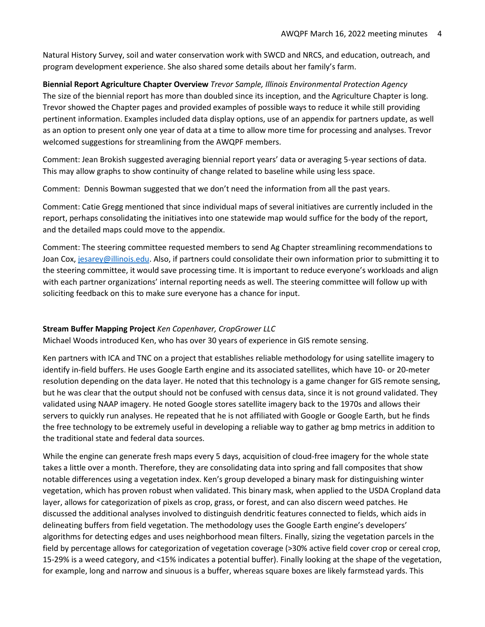Natural History Survey, soil and water conservation work with SWCD and NRCS, and education, outreach, and program development experience. She also shared some details about her family's farm.

**Biennial Report Agriculture Chapter Overview** *Trevor Sample, Illinois Environmental Protection Agency* The size of the biennial report has more than doubled since its inception, and the Agriculture Chapter is long. Trevor showed the Chapter pages and provided examples of possible ways to reduce it while still providing pertinent information. Examples included data display options, use of an appendix for partners update, as well as an option to present only one year of data at a time to allow more time for processing and analyses. Trevor welcomed suggestions for streamlining from the AWQPF members.

Comment: Jean Brokish suggested averaging biennial report years' data or averaging 5-year sections of data. This may allow graphs to show continuity of change related to baseline while using less space.

Comment: Dennis Bowman suggested that we don't need the information from all the past years.

Comment: Catie Gregg mentioned that since individual maps of several initiatives are currently included in the report, perhaps consolidating the initiatives into one statewide map would suffice for the body of the report, and the detailed maps could move to the appendix.

Comment: The steering committee requested members to send Ag Chapter streamlining recommendations to Joan Cox[, jesarey@illinois.edu.](mailto:jesarey@illinois.edu) Also, if partners could consolidate their own information prior to submitting it to the steering committee, it would save processing time. It is important to reduce everyone's workloads and align with each partner organizations' internal reporting needs as well. The steering committee will follow up with soliciting feedback on this to make sure everyone has a chance for input.

#### **Stream Buffer Mapping Project** *Ken Copenhaver, CropGrower LLC*

Michael Woods introduced Ken, who has over 30 years of experience in GIS remote sensing.

Ken partners with ICA and TNC on a project that establishes reliable methodology for using satellite imagery to identify in-field buffers. He uses Google Earth engine and its associated satellites, which have 10- or 20-meter resolution depending on the data layer. He noted that this technology is a game changer for GIS remote sensing, but he was clear that the output should not be confused with census data, since it is not ground validated. They validated using NAAP imagery. He noted Google stores satellite imagery back to the 1970s and allows their servers to quickly run analyses. He repeated that he is not affiliated with Google or Google Earth, but he finds the free technology to be extremely useful in developing a reliable way to gather ag bmp metrics in addition to the traditional state and federal data sources.

While the engine can generate fresh maps every 5 days, acquisition of cloud-free imagery for the whole state takes a little over a month. Therefore, they are consolidating data into spring and fall composites that show notable differences using a vegetation index. Ken's group developed a binary mask for distinguishing winter vegetation, which has proven robust when validated. This binary mask, when applied to the USDA Cropland data layer, allows for categorization of pixels as crop, grass, or forest, and can also discern weed patches. He discussed the additional analyses involved to distinguish dendritic features connected to fields, which aids in delineating buffers from field vegetation. The methodology uses the Google Earth engine's developers' algorithms for detecting edges and uses neighborhood mean filters. Finally, sizing the vegetation parcels in the field by percentage allows for categorization of vegetation coverage (>30% active field cover crop or cereal crop, 15-29% is a weed category, and <15% indicates a potential buffer). Finally looking at the shape of the vegetation, for example, long and narrow and sinuous is a buffer, whereas square boxes are likely farmstead yards. This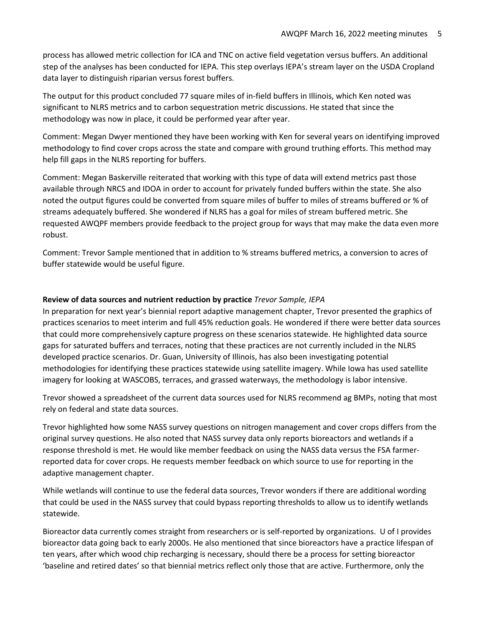process has allowed metric collection for ICA and TNC on active field vegetation versus buffers. An additional step of the analyses has been conducted for IEPA. This step overlays IEPA's stream layer on the USDA Cropland data layer to distinguish riparian versus forest buffers.

The output for this product concluded 77 square miles of in-field buffers in Illinois, which Ken noted was significant to NLRS metrics and to carbon sequestration metric discussions. He stated that since the methodology was now in place, it could be performed year after year.

Comment: Megan Dwyer mentioned they have been working with Ken for several years on identifying improved methodology to find cover crops across the state and compare with ground truthing efforts. This method may help fill gaps in the NLRS reporting for buffers.

Comment: Megan Baskerville reiterated that working with this type of data will extend metrics past those available through NRCS and IDOA in order to account for privately funded buffers within the state. She also noted the output figures could be converted from square miles of buffer to miles of streams buffered or % of streams adequately buffered. She wondered if NLRS has a goal for miles of stream buffered metric. She requested AWQPF members provide feedback to the project group for ways that may make the data even more robust.

Comment: Trevor Sample mentioned that in addition to % streams buffered metrics, a conversion to acres of buffer statewide would be useful figure.

#### **Review of data sources and nutrient reduction by practice** *Trevor Sample, IEPA*

In preparation for next year's biennial report adaptive management chapter, Trevor presented the graphics of practices scenarios to meet interim and full 45% reduction goals. He wondered if there were better data sources that could more comprehensively capture progress on these scenarios statewide. He highlighted data source gaps for saturated buffers and terraces, noting that these practices are not currently included in the NLRS developed practice scenarios. Dr. Guan, University of Illinois, has also been investigating potential methodologies for identifying these practices statewide using satellite imagery. While Iowa has used satellite imagery for looking at WASCOBS, terraces, and grassed waterways, the methodology is labor intensive.

Trevor showed a spreadsheet of the current data sources used for NLRS recommend ag BMPs, noting that most rely on federal and state data sources.

Trevor highlighted how some NASS survey questions on nitrogen management and cover crops differs from the original survey questions. He also noted that NASS survey data only reports bioreactors and wetlands if a response threshold is met. He would like member feedback on using the NASS data versus the FSA farmerreported data for cover crops. He requests member feedback on which source to use for reporting in the adaptive management chapter.

While wetlands will continue to use the federal data sources, Trevor wonders if there are additional wording that could be used in the NASS survey that could bypass reporting thresholds to allow us to identify wetlands statewide.

Bioreactor data currently comes straight from researchers or is self-reported by organizations. U of I provides bioreactor data going back to early 2000s. He also mentioned that since bioreactors have a practice lifespan of ten years, after which wood chip recharging is necessary, should there be a process for setting bioreactor 'baseline and retired dates' so that biennial metrics reflect only those that are active. Furthermore, only the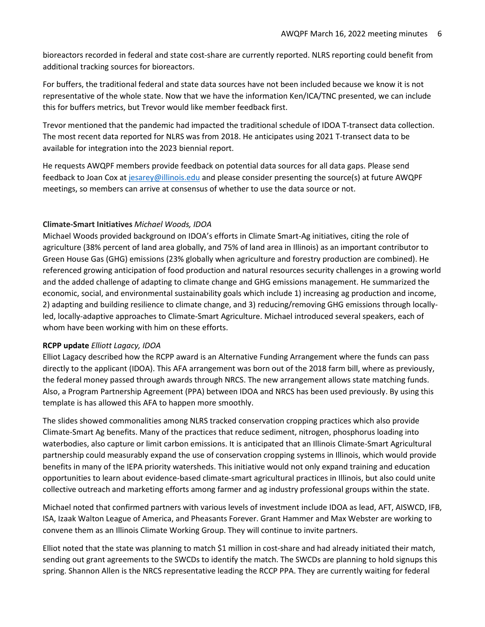bioreactors recorded in federal and state cost-share are currently reported. NLRS reporting could benefit from additional tracking sources for bioreactors.

For buffers, the traditional federal and state data sources have not been included because we know it is not representative of the whole state. Now that we have the information Ken/ICA/TNC presented, we can include this for buffers metrics, but Trevor would like member feedback first.

Trevor mentioned that the pandemic had impacted the traditional schedule of IDOA T-transect data collection. The most recent data reported for NLRS was from 2018. He anticipates using 2021 T-transect data to be available for integration into the 2023 biennial report.

He requests AWQPF members provide feedback on potential data sources for all data gaps. Please send feedback to Joan Cox a[t jesarey@illinois.edu](mailto:jesarey@illinois.edu) and please consider presenting the source(s) at future AWQPF meetings, so members can arrive at consensus of whether to use the data source or not.

# **Climate-Smart Initiatives** *Michael Woods, IDOA*

Michael Woods provided background on IDOA's efforts in Climate Smart-Ag initiatives, citing the role of agriculture (38% percent of land area globally, and 75% of land area in Illinois) as an important contributor to Green House Gas (GHG) emissions (23% globally when agriculture and forestry production are combined). He referenced growing anticipation of food production and natural resources security challenges in a growing world and the added challenge of adapting to climate change and GHG emissions management. He summarized the economic, social, and environmental sustainability goals which include 1) increasing ag production and income, 2) adapting and building resilience to climate change, and 3) reducing/removing GHG emissions through locallyled, locally-adaptive approaches to Climate-Smart Agriculture. Michael introduced several speakers, each of whom have been working with him on these efforts.

#### **RCPP update** *Elliott Lagacy, IDOA*

Elliot Lagacy described how the RCPP award is an Alternative Funding Arrangement where the funds can pass directly to the applicant (IDOA). This AFA arrangement was born out of the 2018 farm bill, where as previously, the federal money passed through awards through NRCS. The new arrangement allows state matching funds. Also, a Program Partnership Agreement (PPA) between IDOA and NRCS has been used previously. By using this template is has allowed this AFA to happen more smoothly.

The slides showed commonalities among NLRS tracked conservation cropping practices which also provide Climate-Smart Ag benefits. Many of the practices that reduce sediment, nitrogen, phosphorus loading into waterbodies, also capture or limit carbon emissions. It is anticipated that an Illinois Climate-Smart Agricultural partnership could measurably expand the use of conservation cropping systems in Illinois, which would provide benefits in many of the IEPA priority watersheds. This initiative would not only expand training and education opportunities to learn about evidence-based climate-smart agricultural practices in Illinois, but also could unite collective outreach and marketing efforts among farmer and ag industry professional groups within the state.

Michael noted that confirmed partners with various levels of investment include IDOA as lead, AFT, AISWCD, IFB, ISA, Izaak Walton League of America, and Pheasants Forever. Grant Hammer and Max Webster are working to convene them as an Illinois Climate Working Group. They will continue to invite partners.

Elliot noted that the state was planning to match \$1 million in cost-share and had already initiated their match, sending out grant agreements to the SWCDs to identify the match. The SWCDs are planning to hold signups this spring. Shannon Allen is the NRCS representative leading the RCCP PPA. They are currently waiting for federal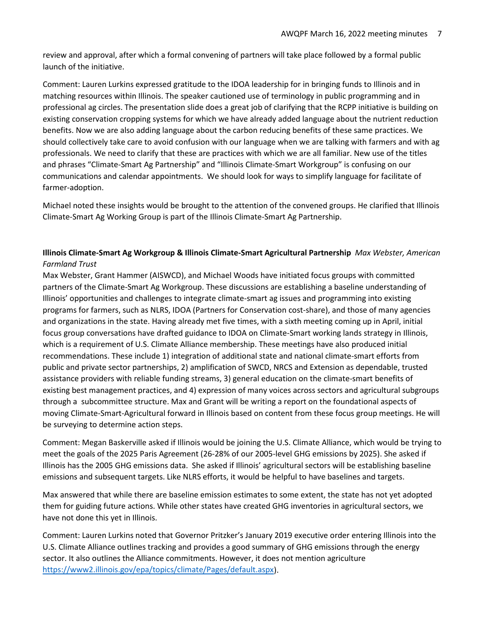review and approval, after which a formal convening of partners will take place followed by a formal public launch of the initiative.

Comment: Lauren Lurkins expressed gratitude to the IDOA leadership for in bringing funds to Illinois and in matching resources within Illinois. The speaker cautioned use of terminology in public programming and in professional ag circles. The presentation slide does a great job of clarifying that the RCPP initiative is building on existing conservation cropping systems for which we have already added language about the nutrient reduction benefits. Now we are also adding language about the carbon reducing benefits of these same practices. We should collectively take care to avoid confusion with our language when we are talking with farmers and with ag professionals. We need to clarify that these are practices with which we are all familiar. New use of the titles and phrases "Climate-Smart Ag Partnership" and "Illinois Climate-Smart Workgroup" is confusing on our communications and calendar appointments. We should look for ways to simplify language for facilitate of farmer-adoption.

Michael noted these insights would be brought to the attention of the convened groups. He clarified that Illinois Climate-Smart Ag Working Group is part of the Illinois Climate-Smart Ag Partnership.

# **Illinois Climate-Smart Ag Workgroup & Illinois Climate-Smart Agricultural Partnership** *Max Webster, American Farmland Trust*

Max Webster, Grant Hammer (AISWCD), and Michael Woods have initiated focus groups with committed partners of the Climate-Smart Ag Workgroup. These discussions are establishing a baseline understanding of Illinois' opportunities and challenges to integrate climate-smart ag issues and programming into existing programs for farmers, such as NLRS, IDOA (Partners for Conservation cost-share), and those of many agencies and organizations in the state. Having already met five times, with a sixth meeting coming up in April, initial focus group conversations have drafted guidance to IDOA on Climate-Smart working lands strategy in Illinois, which is a requirement of U.S. Climate Alliance membership. These meetings have also produced initial recommendations. These include 1) integration of additional state and national climate-smart efforts from public and private sector partnerships, 2) amplification of SWCD, NRCS and Extension as dependable, trusted assistance providers with reliable funding streams, 3) general education on the climate-smart benefits of existing best management practices, and 4) expression of many voices across sectors and agricultural subgroups through a subcommittee structure. Max and Grant will be writing a report on the foundational aspects of moving Climate-Smart-Agricultural forward in Illinois based on content from these focus group meetings. He will be surveying to determine action steps.

Comment: Megan Baskerville asked if Illinois would be joining the U.S. Climate Alliance, which would be trying to meet the goals of the 2025 Paris Agreement (26-28% of our 2005-level GHG emissions by 2025). She asked if Illinois has the 2005 GHG emissions data. She asked if Illinois' agricultural sectors will be establishing baseline emissions and subsequent targets. Like NLRS efforts, it would be helpful to have baselines and targets.

Max answered that while there are baseline emission estimates to some extent, the state has not yet adopted them for guiding future actions. While other states have created GHG inventories in agricultural sectors, we have not done this yet in Illinois.

Comment: Lauren Lurkins noted that Governor Pritzker's January 2019 executive order entering Illinois into the U.S. Climate Alliance outlines tracking and provides a good summary of GHG emissions through the energy sector. It also outlines the Alliance commitments. However, it does not mention agriculture [https://www2.illinois.gov/epa/topics/climate/Pages/default.aspx\)](https://www2.illinois.gov/epa/topics/climate/Pages/default.aspx).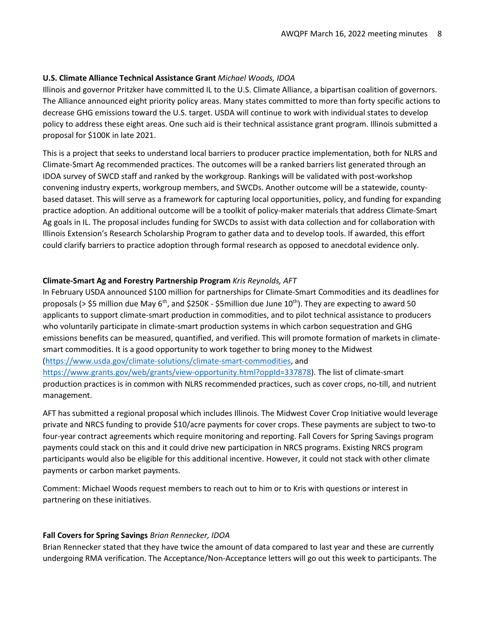# **U.S. Climate Alliance Technical Assistance Grant** *Michael Woods, IDOA*

Illinois and governor Pritzker have committed IL to the U.S. Climate Alliance, a bipartisan coalition of governors. The Alliance announced eight priority policy areas. Many states committed to more than forty specific actions to decrease GHG emissions toward the U.S. target. USDA will continue to work with individual states to develop policy to address these eight areas. One such aid is their technical assistance grant program. Illinois submitted a proposal for \$100K in late 2021.

This is a project that seeks to understand local barriers to producer practice implementation, both for NLRS and Climate-Smart Ag recommended practices. The outcomes will be a ranked barriers list generated through an IDOA survey of SWCD staff and ranked by the workgroup. Rankings will be validated with post-workshop convening industry experts, workgroup members, and SWCDs. Another outcome will be a statewide, countybased dataset. This will serve as a framework for capturing local opportunities, policy, and funding for expanding practice adoption. An additional outcome will be a toolkit of policy-maker materials that address Climate-Smart Ag goals in IL. The proposal includes funding for SWCDs to assist with data collection and for collaboration with Illinois Extension's Research Scholarship Program to gather data and to develop tools. If awarded, this effort could clarify barriers to practice adoption through formal research as opposed to anecdotal evidence only.

# **Climate-Smart Ag and Forestry Partnership Program** *Kris Reynolds, AFT*

In February USDA announced \$100 million for partnerships for Climate-Smart Commodities and its deadlines for proposals (> \$5 million due May  $6<sup>th</sup>$ , and \$250K - \$5 million due June 10<sup>th</sup>). They are expecting to award 50 applicants to support climate-smart production in commodities, and to pilot technical assistance to producers who voluntarily participate in climate-smart production systems in which carbon sequestration and GHG emissions benefits can be measured, quantified, and verified. This will promote formation of markets in climatesmart commodities. It is a good opportunity to work together to bring money to the Midwest [\(https://www.usda.gov/climate-solutions/climate-smart-commodities,](https://www.usda.gov/climate-solutions/climate-smart-commodities) and [https://www.grants.gov/web/grants/view-opportunity.html?oppId=337878\)](https://www.grants.gov/web/grants/view-opportunity.html?oppId=337878). The list of climate-smart production practices is in common with NLRS recommended practices, such as cover crops, no-till, and nutrient

management.

AFT has submitted a regional proposal which includes Illinois. The Midwest Cover Crop Initiative would leverage private and NRCS funding to provide \$10/acre payments for cover crops. These payments are subject to two-to four-year contract agreements which require monitoring and reporting. Fall Covers for Spring Savings program payments could stack on this and it could drive new participation in NRCS programs. Existing NRCS program participants would also be eligible for this additional incentive. However, it could not stack with other climate payments or carbon market payments.

Comment: Michael Woods request members to reach out to him or to Kris with questions or interest in partnering on these initiatives.

#### **Fall Covers for Spring Savings** *Brian Rennecker, IDOA*

Brian Rennecker stated that they have twice the amount of data compared to last year and these are currently undergoing RMA verification. The Acceptance/Non-Acceptance letters will go out this week to participants. The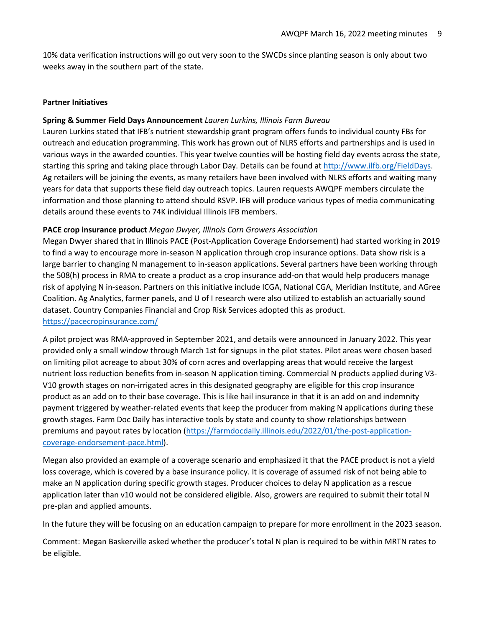10% data verification instructions will go out very soon to the SWCDs since planting season is only about two weeks away in the southern part of the state.

#### **Partner Initiatives**

#### **Spring & Summer Field Days Announcement** *Lauren Lurkins, Illinois Farm Bureau*

Lauren Lurkins stated that IFB's nutrient stewardship grant program offers funds to individual county FBs for outreach and education programming. This work has grown out of NLRS efforts and partnerships and is used in various ways in the awarded counties. This year twelve counties will be hosting field day events across the state, starting this spring and taking place through Labor Day. Details can be found a[t http://www.ilfb.org/FieldDays.](http://www.ilfb.org/FieldDays) Ag retailers will be joining the events, as many retailers have been involved with NLRS efforts and waiting many years for data that supports these field day outreach topics. Lauren requests AWQPF members circulate the information and those planning to attend should RSVP. IFB will produce various types of media communicating details around these events to 74K individual Illinois IFB members.

#### **PACE crop insurance product** *Megan Dwyer, Illinois Corn Growers Association*

Megan Dwyer shared that in Illinois PACE (Post-Application Coverage Endorsement) had started working in 2019 to find a way to encourage more in-season N application through crop insurance options. Data show risk is a large barrier to changing N management to in-season applications. Several partners have been working through the 508(h) process in RMA to create a product as a crop insurance add-on that would help producers manage risk of applying N in-season. Partners on this initiative include ICGA, National CGA, Meridian Institute, and AGree Coalition. Ag Analytics, farmer panels, and U of I research were also utilized to establish an actuarially sound dataset. Country Companies Financial and Crop Risk Services adopted this as product. <https://pacecropinsurance.com/>

A pilot project was RMA-approved in September 2021, and details were announced in January 2022. This year provided only a small window through March 1st for signups in the pilot states. Pilot areas were chosen based on limiting pilot acreage to about 30% of corn acres and overlapping areas that would receive the largest nutrient loss reduction benefits from in-season N application timing. Commercial N products applied during V3- V10 growth stages on non-irrigated acres in this designated geography are eligible for this crop insurance product as an add on to their base coverage. This is like hail insurance in that it is an add on and indemnity payment triggered by weather-related events that keep the producer from making N applications during these growth stages. Farm Doc Daily has interactive tools by state and county to show relationships between premiums and payout rates by location [\(https://farmdocdaily.illinois.edu/2022/01/the-post-application](https://farmdocdaily.illinois.edu/2022/01/the-post-application-coverage-endorsement-pace.html)[coverage-endorsement-pace.html\)](https://farmdocdaily.illinois.edu/2022/01/the-post-application-coverage-endorsement-pace.html).

Megan also provided an example of a coverage scenario and emphasized it that the PACE product is not a yield loss coverage, which is covered by a base insurance policy. It is coverage of assumed risk of not being able to make an N application during specific growth stages. Producer choices to delay N application as a rescue application later than v10 would not be considered eligible. Also, growers are required to submit their total N pre-plan and applied amounts.

In the future they will be focusing on an education campaign to prepare for more enrollment in the 2023 season.

Comment: Megan Baskerville asked whether the producer's total N plan is required to be within MRTN rates to be eligible.